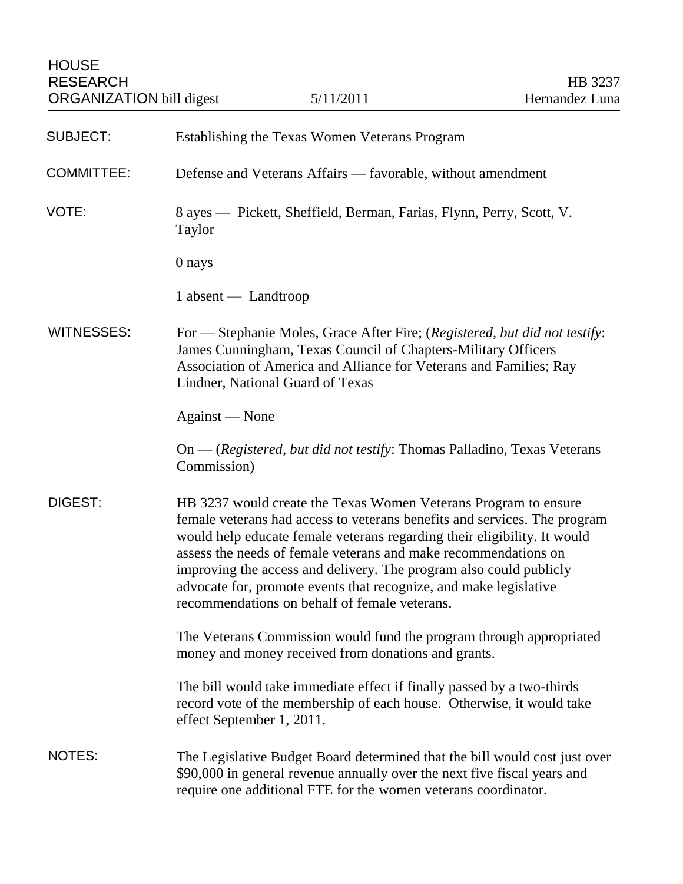| <b>SUBJECT:</b>   | Establishing the Texas Women Veterans Program                                                                                                                                                                                                                                                                                                                                                                                                                                           |
|-------------------|-----------------------------------------------------------------------------------------------------------------------------------------------------------------------------------------------------------------------------------------------------------------------------------------------------------------------------------------------------------------------------------------------------------------------------------------------------------------------------------------|
| <b>COMMITTEE:</b> | Defense and Veterans Affairs — favorable, without amendment                                                                                                                                                                                                                                                                                                                                                                                                                             |
| VOTE:             | 8 ayes — Pickett, Sheffield, Berman, Farias, Flynn, Perry, Scott, V.<br>Taylor                                                                                                                                                                                                                                                                                                                                                                                                          |
|                   | 0 nays                                                                                                                                                                                                                                                                                                                                                                                                                                                                                  |
|                   | 1 absent — Landtroop                                                                                                                                                                                                                                                                                                                                                                                                                                                                    |
| <b>WITNESSES:</b> | For — Stephanie Moles, Grace After Fire; (Registered, but did not testify:<br>James Cunningham, Texas Council of Chapters-Military Officers<br>Association of America and Alliance for Veterans and Families; Ray<br>Lindner, National Guard of Texas                                                                                                                                                                                                                                   |
|                   | Against — None                                                                                                                                                                                                                                                                                                                                                                                                                                                                          |
|                   | On — (Registered, but did not testify: Thomas Palladino, Texas Veterans<br>Commission)                                                                                                                                                                                                                                                                                                                                                                                                  |
| <b>DIGEST:</b>    | HB 3237 would create the Texas Women Veterans Program to ensure<br>female veterans had access to veterans benefits and services. The program<br>would help educate female veterans regarding their eligibility. It would<br>assess the needs of female veterans and make recommendations on<br>improving the access and delivery. The program also could publicly<br>advocate for, promote events that recognize, and make legislative<br>recommendations on behalf of female veterans. |
|                   | The Veterans Commission would fund the program through appropriated<br>money and money received from donations and grants.                                                                                                                                                                                                                                                                                                                                                              |
|                   | The bill would take immediate effect if finally passed by a two-thirds<br>record vote of the membership of each house. Otherwise, it would take<br>effect September 1, 2011.                                                                                                                                                                                                                                                                                                            |
| NOTES:            | The Legislative Budget Board determined that the bill would cost just over<br>\$90,000 in general revenue annually over the next five fiscal years and<br>require one additional FTE for the women veterans coordinator.                                                                                                                                                                                                                                                                |